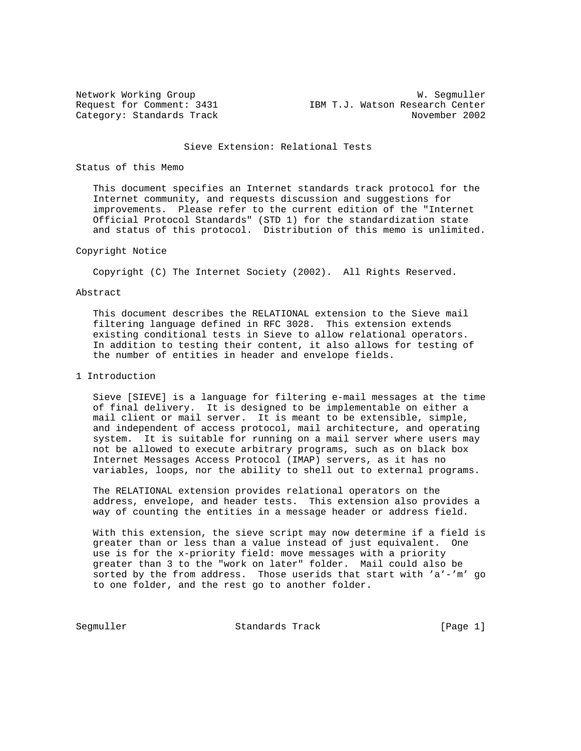Network Working Group Network W. Segmuller Request for Comment: 3431 IBM T.J. Watson Research Center Category: Standards Track November 2002

## Sieve Extension: Relational Tests

## Status of this Memo

 This document specifies an Internet standards track protocol for the Internet community, and requests discussion and suggestions for improvements. Please refer to the current edition of the "Internet Official Protocol Standards" (STD 1) for the standardization state and status of this protocol. Distribution of this memo is unlimited.

## Copyright Notice

Copyright (C) The Internet Society (2002). All Rights Reserved.

## Abstract

 This document describes the RELATIONAL extension to the Sieve mail filtering language defined in RFC 3028. This extension extends existing conditional tests in Sieve to allow relational operators. In addition to testing their content, it also allows for testing of the number of entities in header and envelope fields.

## 1 Introduction

 Sieve [SIEVE] is a language for filtering e-mail messages at the time of final delivery. It is designed to be implementable on either a mail client or mail server. It is meant to be extensible, simple, and independent of access protocol, mail architecture, and operating system. It is suitable for running on a mail server where users may not be allowed to execute arbitrary programs, such as on black box Internet Messages Access Protocol (IMAP) servers, as it has no variables, loops, nor the ability to shell out to external programs.

 The RELATIONAL extension provides relational operators on the address, envelope, and header tests. This extension also provides a way of counting the entities in a message header or address field.

 With this extension, the sieve script may now determine if a field is greater than or less than a value instead of just equivalent. One use is for the x-priority field: move messages with a priority greater than 3 to the "work on later" folder. Mail could also be sorted by the from address. Those userids that start with 'a'-'m' go to one folder, and the rest go to another folder.

Segmuller Standards Track [Page 1]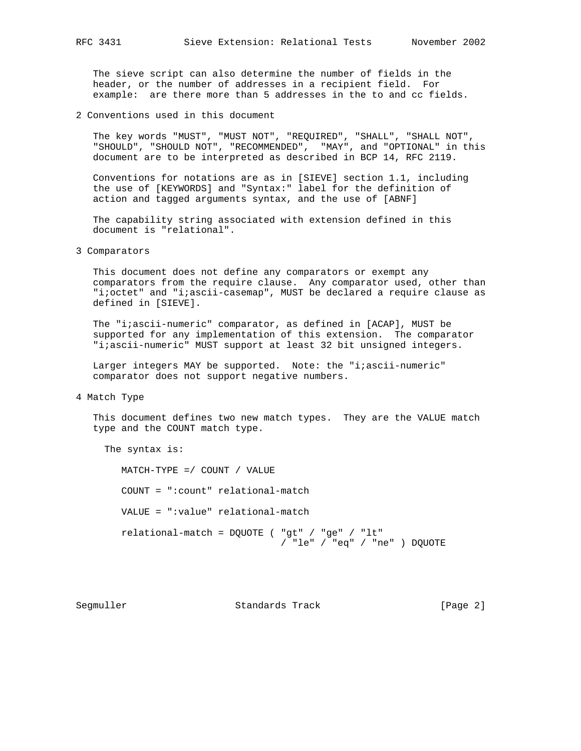The sieve script can also determine the number of fields in the header, or the number of addresses in a recipient field. For example: are there more than 5 addresses in the to and cc fields.

2 Conventions used in this document

 The key words "MUST", "MUST NOT", "REQUIRED", "SHALL", "SHALL NOT", "SHOULD", "SHOULD NOT", "RECOMMENDED", "MAY", and "OPTIONAL" in this document are to be interpreted as described in BCP 14, RFC 2119.

 Conventions for notations are as in [SIEVE] section 1.1, including the use of [KEYWORDS] and "Syntax:" label for the definition of action and tagged arguments syntax, and the use of [ABNF]

 The capability string associated with extension defined in this document is "relational".

3 Comparators

 This document does not define any comparators or exempt any comparators from the require clause. Any comparator used, other than "i;octet" and "i;ascii-casemap", MUST be declared a require clause as defined in [SIEVE].

 The "i;ascii-numeric" comparator, as defined in [ACAP], MUST be supported for any implementation of this extension. The comparator "i;ascii-numeric" MUST support at least 32 bit unsigned integers.

Larger integers MAY be supported. Note: the "i;ascii-numeric" comparator does not support negative numbers.

4 Match Type

 This document defines two new match types. They are the VALUE match type and the COUNT match type.

The syntax is:

 MATCH-TYPE =/ COUNT / VALUE COUNT = ":count" relational-match VALUE = ":value" relational-match relational-match = DQUOTE ( "gt" / "ge" / "lt" / "le" / "eq" / "ne" ) DQUOTE

Segmuller Standards Track [Page 2]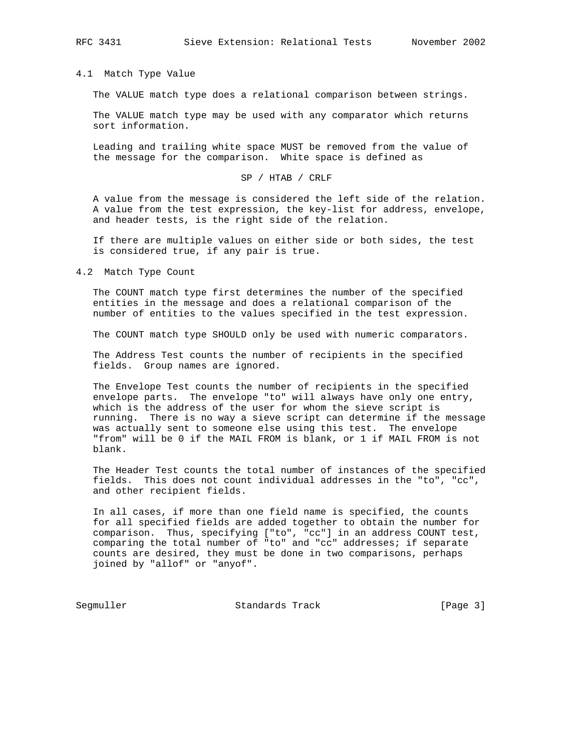#### 4.1 Match Type Value

The VALUE match type does a relational comparison between strings.

 The VALUE match type may be used with any comparator which returns sort information.

 Leading and trailing white space MUST be removed from the value of the message for the comparison. White space is defined as

# SP / HTAB / CRLF

 A value from the message is considered the left side of the relation. A value from the test expression, the key-list for address, envelope, and header tests, is the right side of the relation.

 If there are multiple values on either side or both sides, the test is considered true, if any pair is true.

4.2 Match Type Count

 The COUNT match type first determines the number of the specified entities in the message and does a relational comparison of the number of entities to the values specified in the test expression.

The COUNT match type SHOULD only be used with numeric comparators.

 The Address Test counts the number of recipients in the specified fields. Group names are ignored.

 The Envelope Test counts the number of recipients in the specified envelope parts. The envelope "to" will always have only one entry, which is the address of the user for whom the sieve script is running. There is no way a sieve script can determine if the message was actually sent to someone else using this test. The envelope "from" will be 0 if the MAIL FROM is blank, or 1 if MAIL FROM is not blank.

 The Header Test counts the total number of instances of the specified fields. This does not count individual addresses in the "to", "cc", and other recipient fields.

 In all cases, if more than one field name is specified, the counts for all specified fields are added together to obtain the number for comparison. Thus, specifying ["to", "cc"] in an address COUNT test, comparing the total number of "to" and "cc" addresses; if separate counts are desired, they must be done in two comparisons, perhaps joined by "allof" or "anyof".

Segmuller Standards Track [Page 3]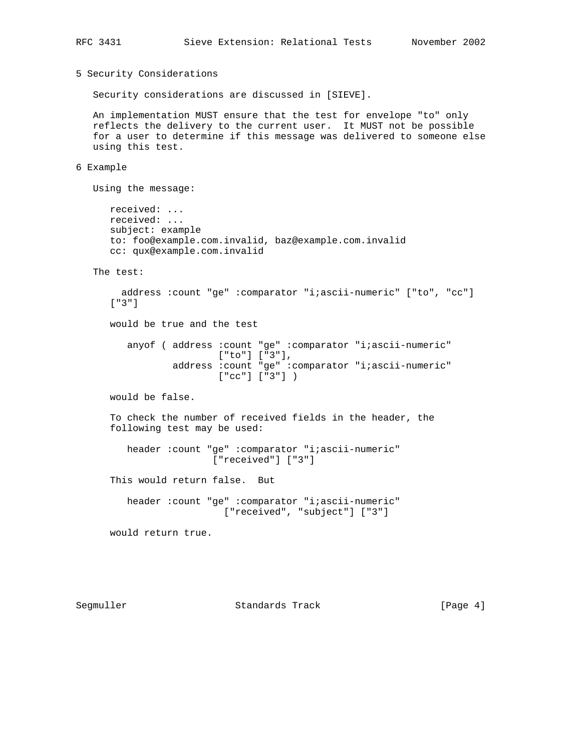```
5 Security Considerations
```
Security considerations are discussed in [SIEVE].

 An implementation MUST ensure that the test for envelope "to" only reflects the delivery to the current user. It MUST not be possible for a user to determine if this message was delivered to someone else using this test.

6 Example

Using the message:

 received: ... received: ... subject: example to: foo@example.com.invalid, baz@example.com.invalid cc: qux@example.com.invalid

The test:

```
 address :count "ge" :comparator "i;ascii-numeric" ["to", "cc"]
 ["3"]
 would be true and the test
   anyof ( address : count "ge" : comparator "i;ascii-numeric"
                    ["to"] ["3"],
            address :count "ge" :comparator "i;ascii-numeric"
                    ["cc"] ["3"] )
 would be false.
 To check the number of received fields in the header, the
 following test may be used:
    header :count "ge" :comparator "i;ascii-numeric"
                   ["received"] ["3"]
 This would return false. But
    header :count "ge" :comparator "i;ascii-numeric"
                     ["received", "subject"] ["3"]
```
would return true.

Segmuller Standards Track [Page 4]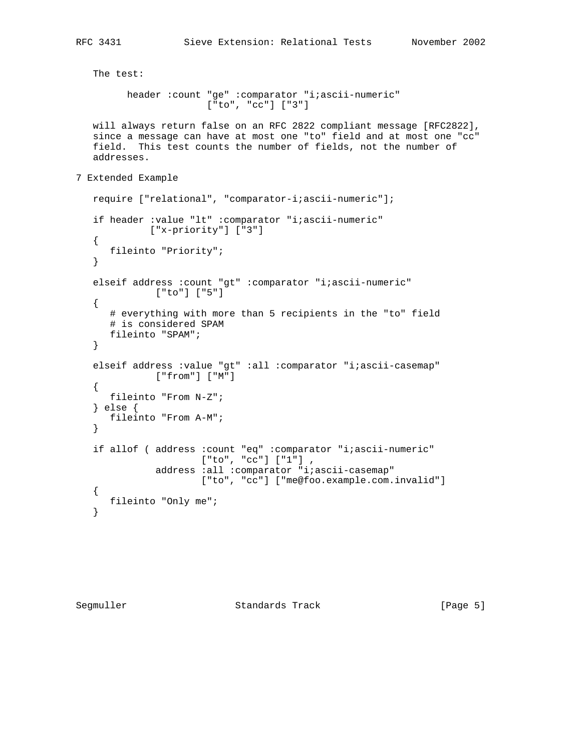```
 The test:
          header :count "ge" :comparator "i;ascii-numeric"
                        ["to", "cc"] ["3"]
   will always return false on an RFC 2822 compliant message [RFC2822],
    since a message can have at most one "to" field and at most one "cc"
    field. This test counts the number of fields, not the number of
    addresses.
7 Extended Example
   require ["relational", "comparator-i;ascii-numeric"];
    if header :value "lt" :comparator "i;ascii-numeric"
             ["x-priority"] ["3"]
    {
      fileinto "Priority";
    }
    elseif address :count "gt" :comparator "i;ascii-numeric"
               ["to"] ["5"]
    {
       # everything with more than 5 recipients in the "to" field
       # is considered SPAM
      fileinto "SPAM";
    }
    elseif address :value "gt" :all :comparator "i;ascii-casemap"
             ["from"] ["M"]
    {
      fileinto "From N-Z";
    } else {
      fileinto "From A-M";
    }
    if allof ( address :count "eq" :comparator "i;ascii-numeric"
                       ["to", "cc"] ["1"] ,
               address :all :comparator "i;ascii-casemap"
                      ["to", "cc"] ["me@foo.example.com.invalid"]
    {
      fileinto "Only me";
    }
```
Segmuller Standards Track [Page 5]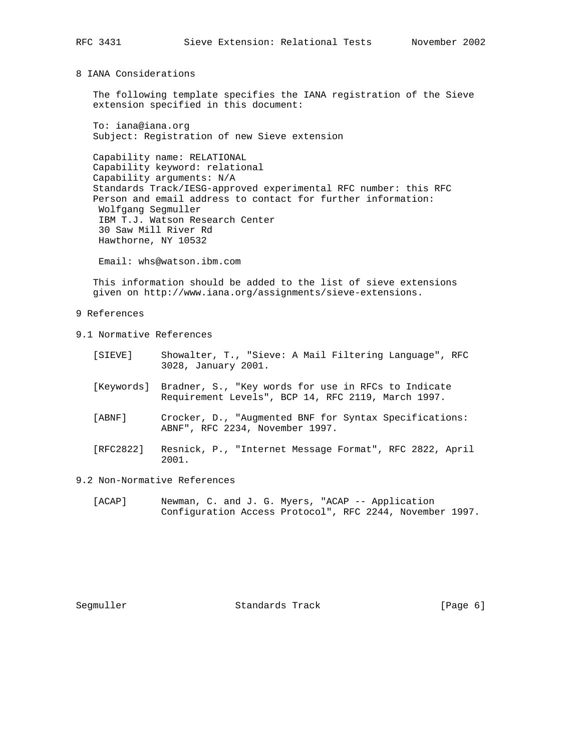8 IANA Considerations

 The following template specifies the IANA registration of the Sieve extension specified in this document:

 To: iana@iana.org Subject: Registration of new Sieve extension

 Capability name: RELATIONAL Capability keyword: relational Capability arguments: N/A Standards Track/IESG-approved experimental RFC number: this RFC Person and email address to contact for further information: Wolfgang Segmuller IBM T.J. Watson Research Center 30 Saw Mill River Rd Hawthorne, NY 10532

Email: whs@watson.ibm.com

 This information should be added to the list of sieve extensions given on http://www.iana.org/assignments/sieve-extensions.

9 References

- 9.1 Normative References
	- [SIEVE] Showalter, T., "Sieve: A Mail Filtering Language", RFC 3028, January 2001.
	- [Keywords] Bradner, S., "Key words for use in RFCs to Indicate Requirement Levels", BCP 14, RFC 2119, March 1997.
	- [ABNF] Crocker, D., "Augmented BNF for Syntax Specifications: ABNF", RFC 2234, November 1997.
	- [RFC2822] Resnick, P., "Internet Message Format", RFC 2822, April 2001.

9.2 Non-Normative References

 [ACAP] Newman, C. and J. G. Myers, "ACAP -- Application Configuration Access Protocol", RFC 2244, November 1997.

Segmuller Standards Track [Page 6]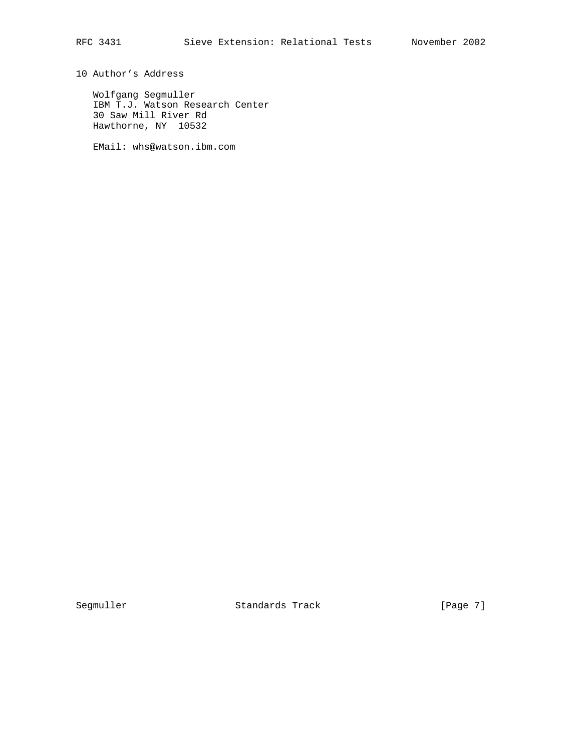10 Author's Address

 Wolfgang Segmuller IBM T.J. Watson Research Center 30 Saw Mill River Rd Hawthorne, NY 10532

EMail: whs@watson.ibm.com

Segmuller Standards Track [Page 7]